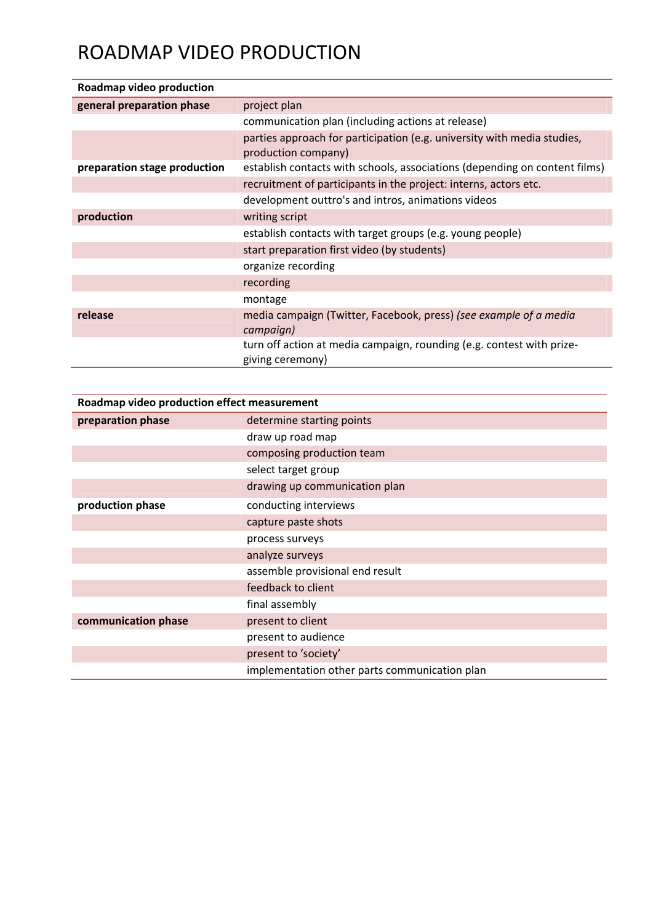| Roadmap video production     |                                                                                                |  |
|------------------------------|------------------------------------------------------------------------------------------------|--|
| general preparation phase    | project plan                                                                                   |  |
|                              | communication plan (including actions at release)                                              |  |
|                              | parties approach for participation (e.g. university with media studies,<br>production company) |  |
| preparation stage production | establish contacts with schools, associations (depending on content films)                     |  |
|                              | recruitment of participants in the project: interns, actors etc.                               |  |
|                              | development outtro's and intros, animations videos                                             |  |
| production                   | writing script                                                                                 |  |
|                              | establish contacts with target groups (e.g. young people)                                      |  |
|                              | start preparation first video (by students)                                                    |  |
|                              | organize recording                                                                             |  |
|                              | recording                                                                                      |  |
|                              | montage                                                                                        |  |
| release                      | media campaign (Twitter, Facebook, press) (see example of a media<br>campaign)                 |  |
|                              | turn off action at media campaign, rounding (e.g. contest with prize-<br>giving ceremony)      |  |

| Roadmap video production effect measurement |                                               |  |
|---------------------------------------------|-----------------------------------------------|--|
| preparation phase                           | determine starting points                     |  |
|                                             | draw up road map                              |  |
|                                             | composing production team                     |  |
|                                             | select target group                           |  |
|                                             | drawing up communication plan                 |  |
| production phase                            | conducting interviews                         |  |
|                                             | capture paste shots                           |  |
|                                             | process surveys                               |  |
|                                             | analyze surveys                               |  |
|                                             | assemble provisional end result               |  |
|                                             | feedback to client                            |  |
|                                             | final assembly                                |  |
| communication phase                         | present to client                             |  |
|                                             | present to audience                           |  |
|                                             | present to 'society'                          |  |
|                                             | implementation other parts communication plan |  |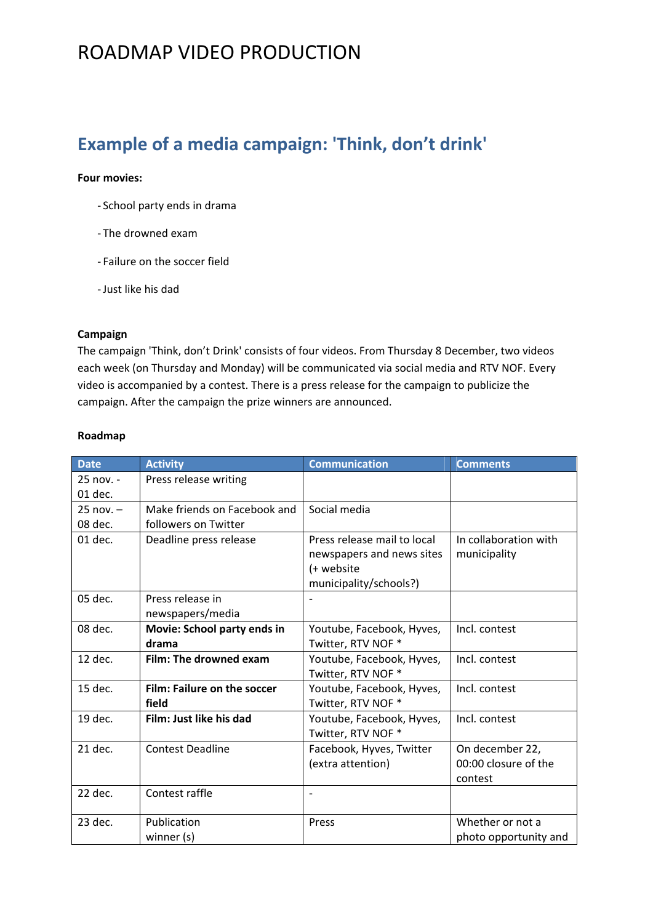### **Example of a media campaign: 'Think, don't drink'**

#### **Four movies:**

- ‐ School party ends in drama
- ‐ The drowned exam
- ‐ Failure on the soccer field
- ‐Just like his dad

### **Campaign**

The campaign 'Think, don't Drink' consists of four videos. From Thursday 8 December, two videos each week (on Thursday and Monday) will be communicated via social media and RTV NOF. Every video is accompanied by a contest. There is a press release for the campaign to publicize the campaign. After the campaign the prize winners are announced.

#### **Roadmap**

| <b>Date</b>   | <b>Activity</b>              | <b>Communication</b>        | <b>Comments</b>       |
|---------------|------------------------------|-----------------------------|-----------------------|
| $25$ nov. -   | Press release writing        |                             |                       |
| 01 dec.       |                              |                             |                       |
| $25$ nov. $-$ | Make friends on Facebook and | Social media                |                       |
| 08 dec.       | followers on Twitter         |                             |                       |
| 01 dec.       | Deadline press release       | Press release mail to local | In collaboration with |
|               |                              | newspapers and news sites   | municipality          |
|               |                              | (+ website                  |                       |
|               |                              | municipality/schools?)      |                       |
| 05 dec.       | Press release in             |                             |                       |
|               | newspapers/media             |                             |                       |
| 08 dec.       | Movie: School party ends in  | Youtube, Facebook, Hyves,   | Incl. contest         |
|               | drama                        | Twitter, RTV NOF *          |                       |
| 12 dec.       | Film: The drowned exam       | Youtube, Facebook, Hyves,   | Incl. contest         |
|               |                              | Twitter, RTV NOF *          |                       |
| 15 dec.       | Film: Failure on the soccer  | Youtube, Facebook, Hyves,   | Incl. contest         |
|               | field                        | Twitter, RTV NOF *          |                       |
| 19 dec.       | Film: Just like his dad      | Youtube, Facebook, Hyves,   | Incl. contest         |
|               |                              | Twitter, RTV NOF *          |                       |
| 21 dec.       | <b>Contest Deadline</b>      | Facebook, Hyves, Twitter    | On december 22,       |
|               |                              | (extra attention)           | 00:00 closure of the  |
|               |                              |                             | contest               |
| 22 dec.       | Contest raffle               | $\overline{\phantom{0}}$    |                       |
|               |                              |                             |                       |
| 23 dec.       | Publication                  | Press                       | Whether or not a      |
|               | winner (s)                   |                             | photo opportunity and |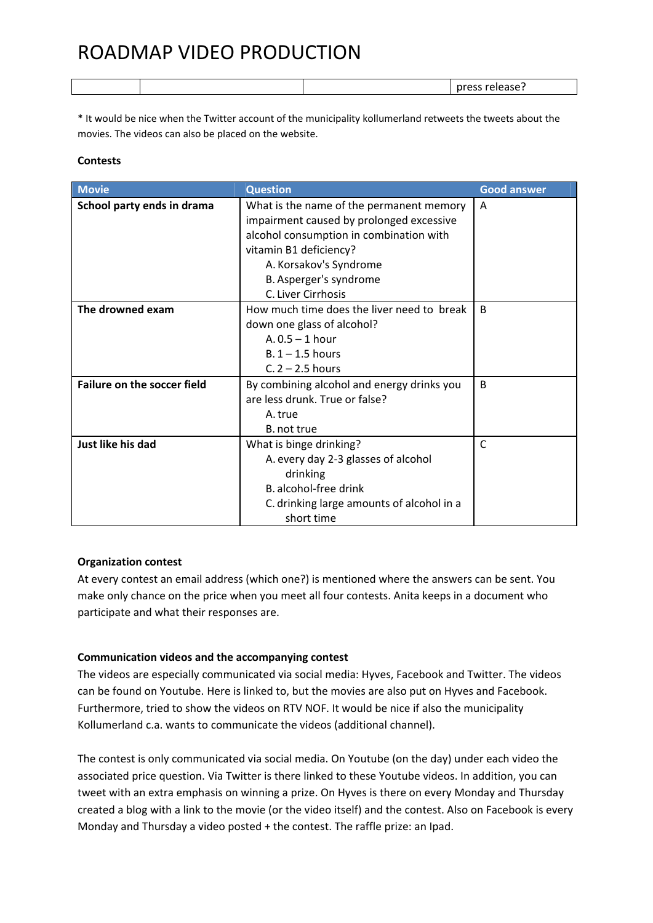\* It would be nice when the Twitter account of the municipality kollumerland retweets the tweets about the movies. The videos can also be placed on the website.

### **Contests**

| <b>Movie</b>                       | <b>Question</b>                                                                                                                                                                                                                     | <b>Good answer</b> |
|------------------------------------|-------------------------------------------------------------------------------------------------------------------------------------------------------------------------------------------------------------------------------------|--------------------|
| School party ends in drama         | What is the name of the permanent memory<br>impairment caused by prolonged excessive<br>alcohol consumption in combination with<br>vitamin B1 deficiency?<br>A. Korsakov's Syndrome<br>B. Asperger's syndrome<br>C. Liver Cirrhosis | $\overline{A}$     |
| The drowned exam                   | How much time does the liver need to break<br>down one glass of alcohol?<br>$A. 0.5 - 1$ hour<br>$B. 1 - 1.5$ hours<br>$C. 2 - 2.5$ hours                                                                                           | <sup>B</sup>       |
| <b>Failure on the soccer field</b> | By combining alcohol and energy drinks you<br>are less drunk. True or false?<br>A. true<br>B. not true                                                                                                                              | B                  |
| Just like his dad                  | What is binge drinking?<br>A. every day 2-3 glasses of alcohol<br>drinking<br>B. alcohol-free drink<br>C. drinking large amounts of alcohol in a<br>short time                                                                      | $\mathsf{C}$       |

### **Organization contest**

At every contest an email address (which one?) is mentioned where the answers can be sent. You make only chance on the price when you meet all four contests. Anita keeps in a document who participate and what their responses are.

### **Communication videos and the accompanying contest**

The videos are especially communicated via social media: Hyves, Facebook and Twitter. The videos can be found on Youtube. Here is linked to, but the movies are also put on Hyves and Facebook. Furthermore, tried to show the videos on RTV NOF. It would be nice if also the municipality Kollumerland c.a. wants to communicate the videos (additional channel).

The contest is only communicated via social media. On Youtube (on the day) under each video the associated price question. Via Twitter is there linked to these Youtube videos. In addition, you can tweet with an extra emphasis on winning a prize. On Hyves is there on every Monday and Thursday created a blog with a link to the movie (or the video itself) and the contest. Also on Facebook is every Monday and Thursday a video posted + the contest. The raffle prize: an Ipad.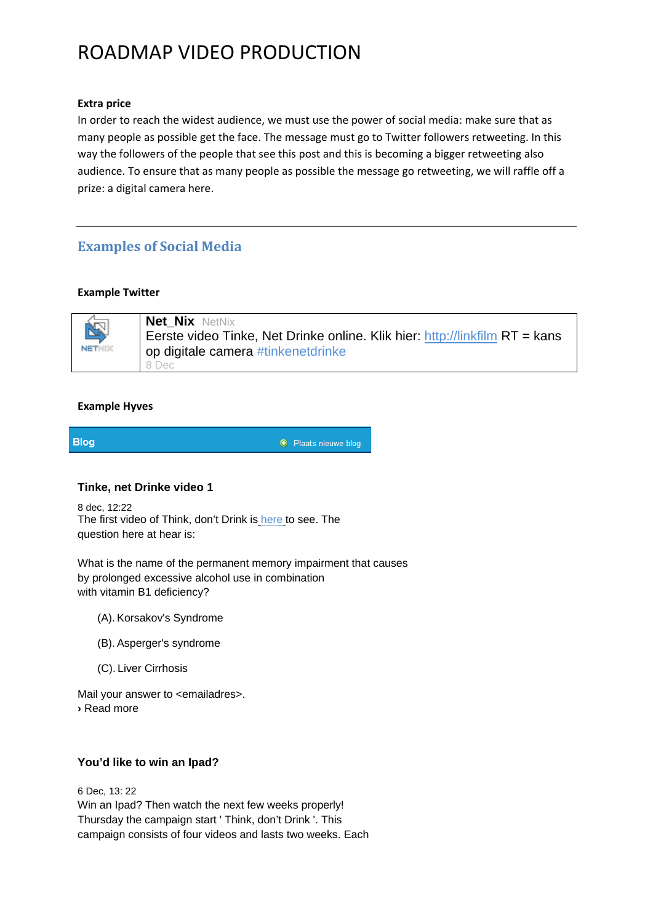### **Extra price**

In order to reach the widest audience, we must use the power of social media: make sure that as many people as possible get the face. The message must go to Twitter followers retweeting. In this way the followers of the people that see this post and this is becoming a bigger retweeting also audience. To ensure that as many people as possible the message go retweeting, we will raffle off a prize: a digital camera here.

### **Examples of Social Media**

#### **Example Twitter**



**Net\_Nix** NetNix Eerste video Tinke, Net Drinke online. Klik hier:  $\frac{http://linkfilm}{RT}$  RT = kans op digitale camera #tinkenetdrinke 8 Dec

#### **Example Hyves**

**Blog** 

**+** Plaats nieuwe blog

### **Tinke, net Drinke video 1**

8 dec, 12:22 The first video of Think, don't Drink is here to see. The question here at hear is:

What is the name of the permanent memory impairment that causes by prolonged excessive alcohol use in combination with vitamin B1 deficiency?

- (A). Korsakov's Syndrome
- (B). Asperger's syndrome
- (C). Liver Cirrhosis

Mail your answer to <emailadres>. **›** Read more

### **You'd like to win an Ipad?**

6 Dec, 13: 22 Win an Ipad? Then watch the next few weeks properly! Thursday the campaign start ' Think, don't Drink '. This campaign consists of four videos and lasts two weeks. Each